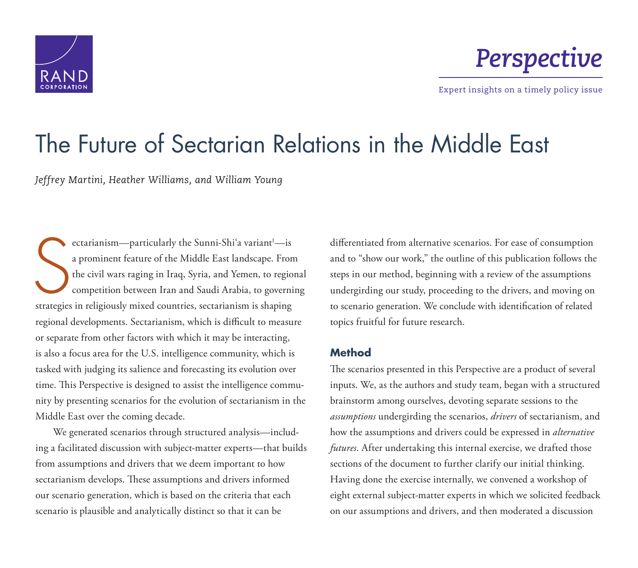



Expert insights on a timely policy issue

# [The Future of Sectarian Relations in the Middle East](http://www.rand.org/pubs/perspectives/PE242.html)

*Jeffrey Martini, Heather Williams, and William Young*

S ectarianism—particularly the Sunni-Shiʻa variant<sup>1</sup>—is a prominent feature of the Middle East landscape. From the civil wars raging in Iraq, Syria, and Yemen, to regional competition between Iran and Saudi Arabia, to governing strategies in religiously mixed countries, sectarianism is shaping regional developments. Sectarianism, which is difficult to measure or separate from other factors with which it may be interacting, is also a focus area for the U.S. intelligence community, which is tasked with judging its salience and forecasting its evolution over time. This Perspective is designed to assist the intelligence community by presenting scenarios for the evolution of sectarianism in the Middle East over the coming decade.

We generated scenarios through structured analysis—including a facilitated discussion with subject-matter experts—that builds from assumptions and drivers that we deem important to how sectarianism develops. These assumptions and drivers informed our scenario generation, which is based on the criteria that each scenario is plausible and analytically distinct so that it can be

differentiated from alternative scenarios. For ease of consumption and to "show our work," the outline of this publication follows the steps in our method, beginning with a review of the assumptions undergirding our study, proceeding to the drivers, and moving on to scenario generation. We conclude with identification of related topics fruitful for future research.

#### **Method**

The scenarios presented in this Perspective are a product of several inputs. We, as the authors and study team, began with a structured brainstorm among ourselves, devoting separate sessions to the *assumptions* undergirding the scenarios, *drivers* of sectarianism, and how the assumptions and drivers could be expressed in *alternative futures*. After undertaking this internal exercise, we drafted those sections of the document to further clarify our initial thinking. Having done the exercise internally, we convened a workshop of eight external subject-matter experts in which we solicited feedback on our assumptions and drivers, and then moderated a discussion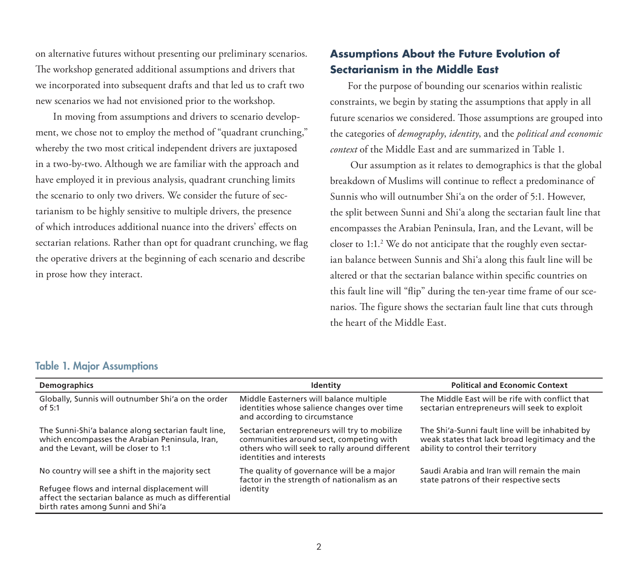on alternative futures without presenting our preliminary scenarios. The workshop generated additional assumptions and drivers that we incorporated into subsequent drafts and that led us to craft two new scenarios we had not envisioned prior to the workshop.

In moving from assumptions and drivers to scenario development, we chose not to employ the method of "quadrant crunching," whereby the two most critical independent drivers are juxtaposed in a two-by-two. Although we are familiar with the approach and have employed it in previous analysis, quadrant crunching limits the scenario to only two drivers. We consider the future of sectarianism to be highly sensitive to multiple drivers, the presence of which introduces additional nuance into the drivers' effects on sectarian relations. Rather than opt for quadrant crunching, we flag the operative drivers at the beginning of each scenario and describe in prose how they interact.

## **Assumptions About the Future Evolution of Sectarianism in the Middle East**

For the purpose of bounding our scenarios within realistic constraints, we begin by stating the assumptions that apply in all future scenarios we considered. Those assumptions are grouped into the categories of *demography*, *identity*, and the *political and economic context* of the Middle East and are summarized in Table 1.

 Our assumption as it relates to demographics is that the global breakdown of Muslims will continue to reflect a predominance of Sunnis who will outnumber Shi'a on the order of 5:1. However, the split between Sunni and Shi'a along the sectarian fault line that encompasses the Arabian Peninsula, Iran, and the Levant, will be closer to  $1:1.^2$  We do not anticipate that the roughly even sectarian balance between Sunnis and Shi'a along this fault line will be altered or that the sectarian balance within specific countries on this fault line will "flip" during the ten-year time frame of our scenarios. The figure shows the sectarian fault line that cuts through the heart of the Middle East.

#### Table 1. Major Assumptions

| <b>Demographics</b>                                                                                                                                      | Identity                                                                                                                                                              | <b>Political and Economic Context</b>                                                                                                   |  |
|----------------------------------------------------------------------------------------------------------------------------------------------------------|-----------------------------------------------------------------------------------------------------------------------------------------------------------------------|-----------------------------------------------------------------------------------------------------------------------------------------|--|
| Globally, Sunnis will outnumber Shi'a on the order<br>of 5:1                                                                                             | Middle Easterners will balance multiple<br>identities whose salience changes over time<br>and according to circumstance                                               | The Middle East will be rife with conflict that<br>sectarian entrepreneurs will seek to exploit                                         |  |
| The Sunni-Shi'a balance along sectarian fault line,<br>which encompasses the Arabian Peninsula, Iran,<br>and the Levant, will be closer to 1:1           | Sectarian entrepreneurs will try to mobilize<br>communities around sect, competing with<br>others who will seek to rally around different<br>identities and interests | The Shi'a-Sunni fault line will be inhabited by<br>weak states that lack broad legitimacy and the<br>ability to control their territory |  |
| No country will see a shift in the majority sect<br>Refugee flows and internal displacement will<br>affect the sectarian balance as much as differential | The quality of governance will be a major<br>factor in the strength of nationalism as an<br>identity                                                                  | Saudi Arabia and Iran will remain the main<br>state patrons of their respective sects                                                   |  |
| birth rates among Sunni and Shi'a                                                                                                                        |                                                                                                                                                                       |                                                                                                                                         |  |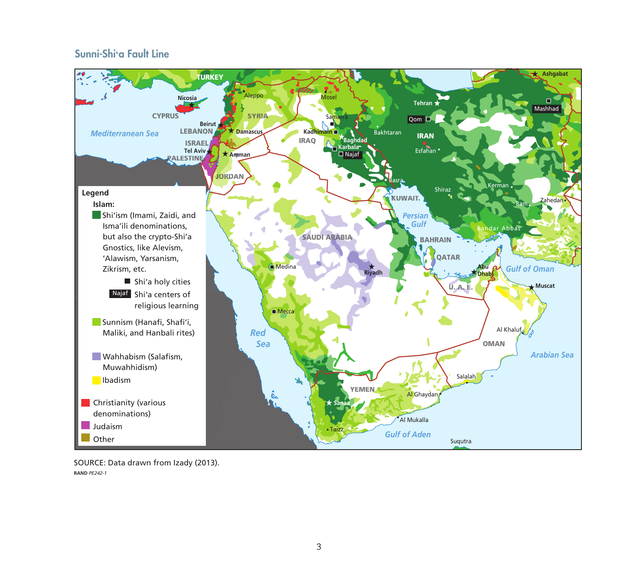### Sunni-Shi**'**a Fault Line



SOURCE: Data drawn from Izady (2013). **RAND** *PE242-1*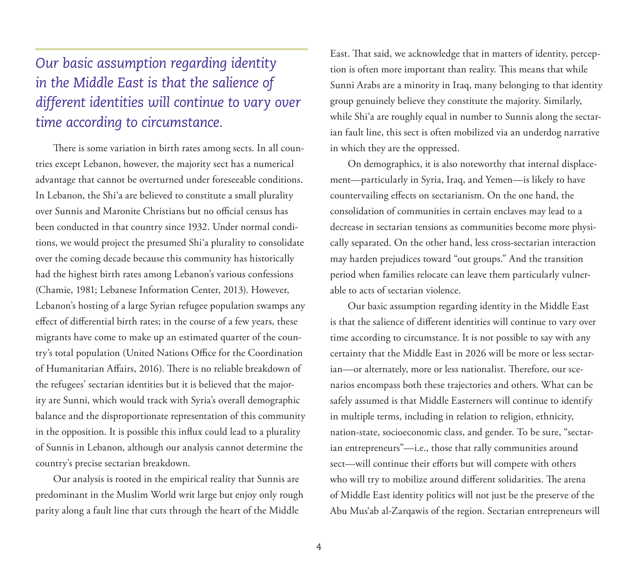## *Our basic assumption regarding identity in the Middle East is that the salience of different identities will continue to vary over time according to circumstance.*

There is some variation in birth rates among sects. In all countries except Lebanon, however, the majority sect has a numerical advantage that cannot be overturned under foreseeable conditions. In Lebanon, the Shi'a are believed to constitute a small plurality over Sunnis and Maronite Christians but no official census has been conducted in that country since 1932. Under normal conditions, we would project the presumed Shi'a plurality to consolidate over the coming decade because this community has historically had the highest birth rates among Lebanon's various confessions (Chamie, 1981; Lebanese Information Center, 2013). However, Lebanon's hosting of a large Syrian refugee population swamps any effect of differential birth rates; in the course of a few years, these migrants have come to make up an estimated quarter of the country's total population (United Nations Office for the Coordination of Humanitarian Affairs, 2016). There is no reliable breakdown of the refugees' sectarian identities but it is believed that the majority are Sunni, which would track with Syria's overall demographic balance and the disproportionate representation of this community in the opposition. It is possible this influx could lead to a plurality of Sunnis in Lebanon, although our analysis cannot determine the country's precise sectarian breakdown.

Our analysis is rooted in the empirical reality that Sunnis are predominant in the Muslim World writ large but enjoy only rough parity along a fault line that cuts through the heart of the Middle

East. That said, we acknowledge that in matters of identity, perception is often more important than reality. This means that while Sunni Arabs are a minority in Iraq, many belonging to that identity group genuinely believe they constitute the majority. Similarly, while Shi'a are roughly equal in number to Sunnis along the sectarian fault line, this sect is often mobilized via an underdog narrative in which they are the oppressed.

On demographics, it is also noteworthy that internal displacement—particularly in Syria, Iraq, and Yemen—is likely to have countervailing effects on sectarianism. On the one hand, the consolidation of communities in certain enclaves may lead to a decrease in sectarian tensions as communities become more physically separated. On the other hand, less cross-sectarian interaction may harden prejudices toward "out groups." And the transition period when families relocate can leave them particularly vulnerable to acts of sectarian violence.

Our basic assumption regarding identity in the Middle East is that the salience of different identities will continue to vary over time according to circumstance. It is not possible to say with any certainty that the Middle East in 2026 will be more or less sectarian—or alternately, more or less nationalist. Therefore, our scenarios encompass both these trajectories and others. What can be safely assumed is that Middle Easterners will continue to identify in multiple terms, including in relation to religion, ethnicity, nation-state, socioeconomic class, and gender. To be sure, "sectarian entrepreneurs"—i.e., those that rally communities around sect—will continue their efforts but will compete with others who will try to mobilize around different solidarities. The arena of Middle East identity politics will not just be the preserve of the Abu Mus'ab al-Zarqawis of the region. Sectarian entrepreneurs will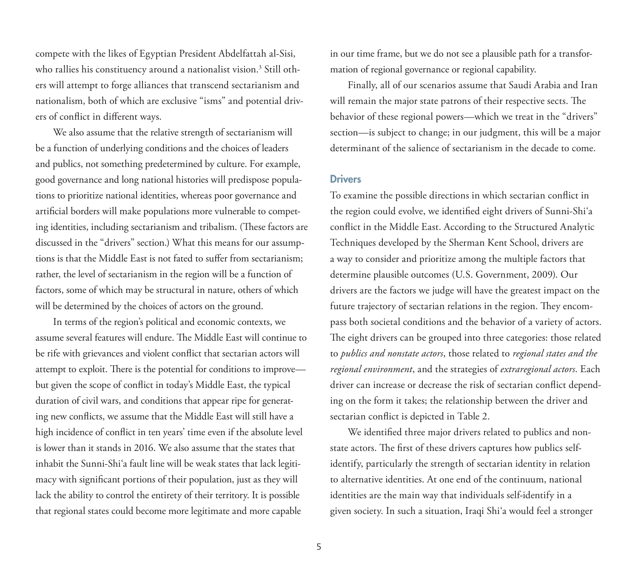compete with the likes of Egyptian President Abdelfattah al-Sisi, who rallies his constituency around a nationalist vision. $^3$  Still others will attempt to forge alliances that transcend sectarianism and nationalism, both of which are exclusive "isms" and potential drivers of conflict in different ways.

We also assume that the relative strength of sectarianism will be a function of underlying conditions and the choices of leaders and publics, not something predetermined by culture. For example, good governance and long national histories will predispose populations to prioritize national identities, whereas poor governance and artificial borders will make populations more vulnerable to competing identities, including sectarianism and tribalism. (These factors are discussed in the "drivers" section.) What this means for our assumptions is that the Middle East is not fated to suffer from sectarianism; rather, the level of sectarianism in the region will be a function of factors, some of which may be structural in nature, others of which will be determined by the choices of actors on the ground.

In terms of the region's political and economic contexts, we assume several features will endure. The Middle East will continue to be rife with grievances and violent conflict that sectarian actors will attempt to exploit. There is the potential for conditions to improve but given the scope of conflict in today's Middle East, the typical duration of civil wars, and conditions that appear ripe for generating new conflicts, we assume that the Middle East will still have a high incidence of conflict in ten years' time even if the absolute level is lower than it stands in 2016. We also assume that the states that inhabit the Sunni-Shi'a fault line will be weak states that lack legitimacy with significant portions of their population, just as they will lack the ability to control the entirety of their territory. It is possible that regional states could become more legitimate and more capable

in our time frame, but we do not see a plausible path for a transformation of regional governance or regional capability.

Finally, all of our scenarios assume that Saudi Arabia and Iran will remain the major state patrons of their respective sects. The behavior of these regional powers—which we treat in the "drivers" section—is subject to change; in our judgment, this will be a major determinant of the salience of sectarianism in the decade to come.

#### **Drivers**

To examine the possible directions in which sectarian conflict in the region could evolve, we identified eight drivers of Sunni-Shi'a conflict in the Middle East. According to the Structured Analytic Techniques developed by the Sherman Kent School, drivers are a way to consider and prioritize among the multiple factors that determine plausible outcomes (U.S. Government, 2009). Our drivers are the factors we judge will have the greatest impact on the future trajectory of sectarian relations in the region. They encompass both societal conditions and the behavior of a variety of actors. The eight drivers can be grouped into three categories: those related to *publics and nonstate actors*, those related to *regional states and the regional environment*, and the strategies of *extraregional actors*. Each driver can increase or decrease the risk of sectarian conflict depending on the form it takes; the relationship between the driver and sectarian conflict is depicted in Table 2.

We identified three major drivers related to publics and nonstate actors. The first of these drivers captures how publics selfidentify, particularly the strength of sectarian identity in relation to alternative identities. At one end of the continuum, national identities are the main way that individuals self-identify in a given society. In such a situation, Iraqi Shi'a would feel a stronger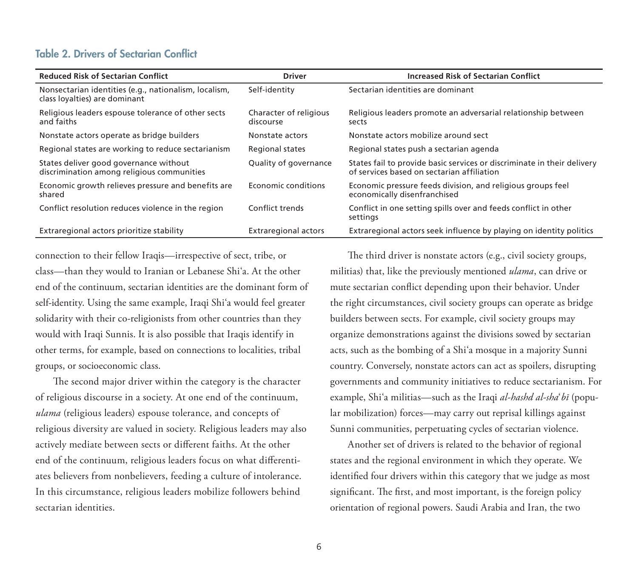#### Table 2. Drivers of Sectarian Conflict

| <b>Reduced Risk of Sectarian Conflict</b>                                              | <b>Driver</b>                       | <b>Increased Risk of Sectarian Conflict</b>                                                                           |
|----------------------------------------------------------------------------------------|-------------------------------------|-----------------------------------------------------------------------------------------------------------------------|
| Nonsectarian identities (e.g., nationalism, localism,<br>class loyalties) are dominant | Self-identity                       | Sectarian identities are dominant                                                                                     |
| Religious leaders espouse tolerance of other sects<br>and faiths                       | Character of religious<br>discourse | Religious leaders promote an adversarial relationship between<br>sects                                                |
| Nonstate actors operate as bridge builders                                             | Nonstate actors                     | Nonstate actors mobilize around sect                                                                                  |
| Regional states are working to reduce sectarianism                                     | <b>Regional states</b>              | Regional states push a sectarian agenda                                                                               |
| States deliver good governance without<br>discrimination among religious communities   | Quality of governance               | States fail to provide basic services or discriminate in their delivery<br>of services based on sectarian affiliation |
| Economic growth relieves pressure and benefits are<br>shared                           | Economic conditions                 | Economic pressure feeds division, and religious groups feel<br>economically disenfranchised                           |
| Conflict resolution reduces violence in the region                                     | Conflict trends                     | Conflict in one setting spills over and feeds conflict in other<br>settings                                           |
| Extraregional actors prioritize stability                                              | <b>Extraregional actors</b>         | Extraregional actors seek influence by playing on identity politics                                                   |

connection to their fellow Iraqis—irrespective of sect, tribe, or class—than they would to Iranian or Lebanese Shi'a. At the other end of the continuum, sectarian identities are the dominant form of self-identity. Using the same example, Iraqi Shi'a would feel greater solidarity with their co-religionists from other countries than they would with Iraqi Sunnis. It is also possible that Iraqis identify in other terms, for example, based on connections to localities, tribal groups, or socioeconomic class.

The second major driver within the category is the character of religious discourse in a society. At one end of the continuum, *ulama* (religious leaders) espouse tolerance, and concepts of religious diversity are valued in society. Religious leaders may also actively mediate between sects or different faiths. At the other end of the continuum, religious leaders focus on what differentiates believers from nonbelievers, feeding a culture of intolerance. In this circumstance, religious leaders mobilize followers behind sectarian identities.

The third driver is nonstate actors (e.g., civil society groups, militias) that, like the previously mentioned *ulama*, can drive or mute sectarian conflict depending upon their behavior. Under the right circumstances, civil society groups can operate as bridge builders between sects. For example, civil society groups may organize demonstrations against the divisions sowed by sectarian acts, such as the bombing of a Shi'a mosque in a majority Sunni country. Conversely, nonstate actors can act as spoilers, disrupting governments and community initiatives to reduce sectarianism. For example, Shi'a militias—such as the Iraqi *al-hashd al-sha*'*bī* (popular mobilization) forces—may carry out reprisal killings against Sunni communities, perpetuating cycles of sectarian violence.

Another set of drivers is related to the behavior of regional states and the regional environment in which they operate. We identified four drivers within this category that we judge as most significant. The first, and most important, is the foreign policy orientation of regional powers. Saudi Arabia and Iran, the two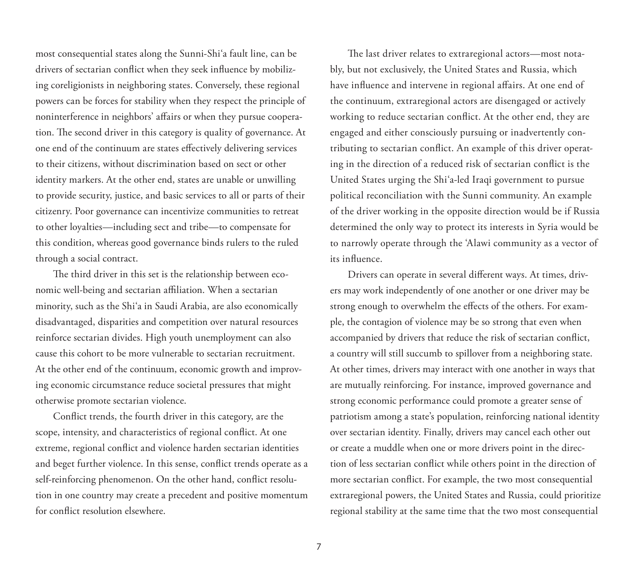most consequential states along the Sunni-Shi'a fault line, can be drivers of sectarian conflict when they seek influence by mobilizing coreligionists in neighboring states. Conversely, these regional powers can be forces for stability when they respect the principle of noninterference in neighbors' affairs or when they pursue cooperation. The second driver in this category is quality of governance. At one end of the continuum are states effectively delivering services to their citizens, without discrimination based on sect or other identity markers. At the other end, states are unable or unwilling to provide security, justice, and basic services to all or parts of their citizenry. Poor governance can incentivize communities to retreat to other loyalties—including sect and tribe—to compensate for this condition, whereas good governance binds rulers to the ruled through a social contract.

The third driver in this set is the relationship between economic well-being and sectarian affiliation. When a sectarian minority, such as the Shi'a in Saudi Arabia, are also economically disadvantaged, disparities and competition over natural resources reinforce sectarian divides. High youth unemployment can also cause this cohort to be more vulnerable to sectarian recruitment. At the other end of the continuum, economic growth and improving economic circumstance reduce societal pressures that might otherwise promote sectarian violence.

Conflict trends, the fourth driver in this category, are the scope, intensity, and characteristics of regional conflict. At one extreme, regional conflict and violence harden sectarian identities and beget further violence. In this sense, conflict trends operate as a self-reinforcing phenomenon. On the other hand, conflict resolution in one country may create a precedent and positive momentum for conflict resolution elsewhere.

The last driver relates to extraregional actors—most notably, but not exclusively, the United States and Russia, which have influence and intervene in regional affairs. At one end of the continuum, extraregional actors are disengaged or actively working to reduce sectarian conflict. At the other end, they are engaged and either consciously pursuing or inadvertently contributing to sectarian conflict. An example of this driver operating in the direction of a reduced risk of sectarian conflict is the United States urging the Shi'a-led Iraqi government to pursue political reconciliation with the Sunni community. An example of the driver working in the opposite direction would be if Russia determined the only way to protect its interests in Syria would be to narrowly operate through the 'Alawi community as a vector of its influence.

Drivers can operate in several different ways. At times, drivers may work independently of one another or one driver may be strong enough to overwhelm the effects of the others. For example, the contagion of violence may be so strong that even when accompanied by drivers that reduce the risk of sectarian conflict, a country will still succumb to spillover from a neighboring state. At other times, drivers may interact with one another in ways that are mutually reinforcing. For instance, improved governance and strong economic performance could promote a greater sense of patriotism among a state's population, reinforcing national identity over sectarian identity. Finally, drivers may cancel each other out or create a muddle when one or more drivers point in the direction of less sectarian conflict while others point in the direction of more sectarian conflict. For example, the two most consequential extraregional powers, the United States and Russia, could prioritize regional stability at the same time that the two most consequential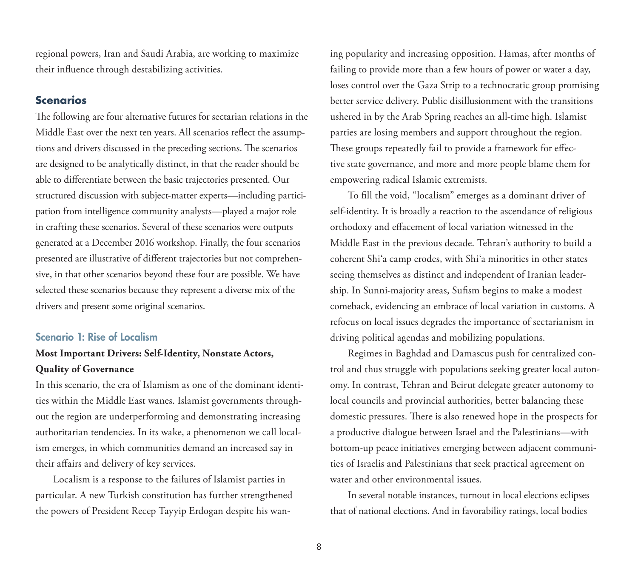regional powers, Iran and Saudi Arabia, are working to maximize their influence through destabilizing activities.

#### **Scenarios**

The following are four alternative futures for sectarian relations in the Middle East over the next ten years. All scenarios reflect the assumptions and drivers discussed in the preceding sections. The scenarios are designed to be analytically distinct, in that the reader should be able to differentiate between the basic trajectories presented. Our structured discussion with subject-matter experts—including participation from intelligence community analysts—played a major role in crafting these scenarios. Several of these scenarios were outputs generated at a December 2016 workshop. Finally, the four scenarios presented are illustrative of different trajectories but not comprehensive, in that other scenarios beyond these four are possible. We have selected these scenarios because they represent a diverse mix of the drivers and present some original scenarios.

#### Scenario 1: Rise of Localism

## **Most Important Drivers: Self-Identity, Nonstate Actors, Quality of Governance**

In this scenario, the era of Islamism as one of the dominant identities within the Middle East wanes. Islamist governments throughout the region are underperforming and demonstrating increasing authoritarian tendencies. In its wake, a phenomenon we call localism emerges, in which communities demand an increased say in their affairs and delivery of key services.

Localism is a response to the failures of Islamist parties in particular. A new Turkish constitution has further strengthened the powers of President Recep Tayyip Erdogan despite his waning popularity and increasing opposition. Hamas, after months of failing to provide more than a few hours of power or water a day, loses control over the Gaza Strip to a technocratic group promising better service delivery. Public disillusionment with the transitions ushered in by the Arab Spring reaches an all-time high. Islamist parties are losing members and support throughout the region. These groups repeatedly fail to provide a framework for effective state governance, and more and more people blame them for empowering radical Islamic extremists.

To fill the void, "localism" emerges as a dominant driver of self-identity. It is broadly a reaction to the ascendance of religious orthodoxy and effacement of local variation witnessed in the Middle East in the previous decade. Tehran's authority to build a coherent Shi'a camp erodes, with Shi'a minorities in other states seeing themselves as distinct and independent of Iranian leadership. In Sunni-majority areas, Sufism begins to make a modest comeback, evidencing an embrace of local variation in customs. A refocus on local issues degrades the importance of sectarianism in driving political agendas and mobilizing populations.

Regimes in Baghdad and Damascus push for centralized control and thus struggle with populations seeking greater local autonomy. In contrast, Tehran and Beirut delegate greater autonomy to local councils and provincial authorities, better balancing these domestic pressures. There is also renewed hope in the prospects for a productive dialogue between Israel and the Palestinians—with bottom-up peace initiatives emerging between adjacent communities of Israelis and Palestinians that seek practical agreement on water and other environmental issues.

In several notable instances, turnout in local elections eclipses that of national elections. And in favorability ratings, local bodies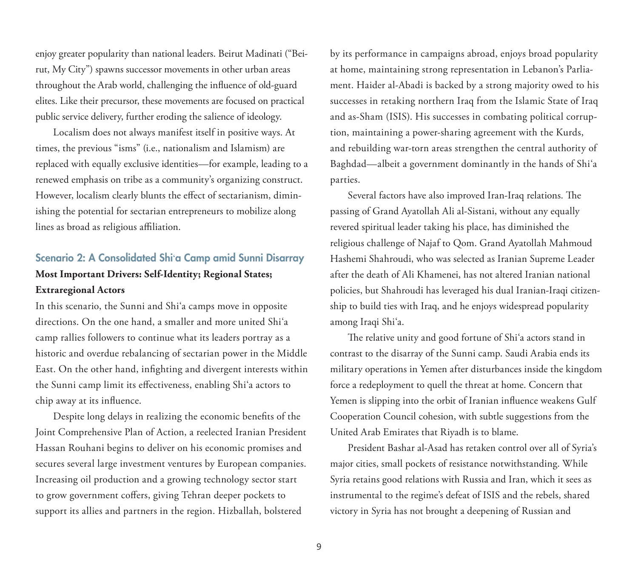enjoy greater popularity than national leaders. Beirut Madinati ("Beirut, My City") spawns successor movements in other urban areas throughout the Arab world, challenging the influence of old-guard elites. Like their precursor, these movements are focused on practical public service delivery, further eroding the salience of ideology.

Localism does not always manifest itself in positive ways. At times, the previous "isms" (i.e., nationalism and Islamism) are replaced with equally exclusive identities—for example, leading to a renewed emphasis on tribe as a community's organizing construct. However, localism clearly blunts the effect of sectarianism, diminishing the potential for sectarian entrepreneurs to mobilize along lines as broad as religious affiliation.

## Scenario 2: A Consolidated Shi'a Camp amid Sunni Disarray **Most Important Drivers: Self-Identity; Regional States; Extraregional Actors**

In this scenario, the Sunni and Shi'a camps move in opposite directions. On the one hand, a smaller and more united Shi'a camp rallies followers to continue what its leaders portray as a historic and overdue rebalancing of sectarian power in the Middle East. On the other hand, infighting and divergent interests within the Sunni camp limit its effectiveness, enabling Shi'a actors to chip away at its influence.

Despite long delays in realizing the economic benefits of the Joint Comprehensive Plan of Action, a reelected Iranian President Hassan Rouhani begins to deliver on his economic promises and secures several large investment ventures by European companies. Increasing oil production and a growing technology sector start to grow government coffers, giving Tehran deeper pockets to support its allies and partners in the region. Hizballah, bolstered

by its performance in campaigns abroad, enjoys broad popularity at home, maintaining strong representation in Lebanon's Parliament. Haider al-Abadi is backed by a strong majority owed to his successes in retaking northern Iraq from the Islamic State of Iraq and as-Sham (ISIS). His successes in combating political corruption, maintaining a power-sharing agreement with the Kurds, and rebuilding war-torn areas strengthen the central authority of Baghdad—albeit a government dominantly in the hands of Shi'a parties.

Several factors have also improved Iran-Iraq relations. The passing of Grand Ayatollah Ali al-Sistani, without any equally revered spiritual leader taking his place, has diminished the religious challenge of Najaf to Qom. Grand Ayatollah Mahmoud Hashemi Shahroudi, who was selected as Iranian Supreme Leader after the death of Ali Khamenei, has not altered Iranian national policies, but Shahroudi has leveraged his dual Iranian-Iraqi citizenship to build ties with Iraq, and he enjoys widespread popularity among Iraqi Shi'a.

The relative unity and good fortune of Shi'a actors stand in contrast to the disarray of the Sunni camp. Saudi Arabia ends its military operations in Yemen after disturbances inside the kingdom force a redeployment to quell the threat at home. Concern that Yemen is slipping into the orbit of Iranian influence weakens Gulf Cooperation Council cohesion, with subtle suggestions from the United Arab Emirates that Riyadh is to blame.

President Bashar al-Asad has retaken control over all of Syria's major cities, small pockets of resistance notwithstanding. While Syria retains good relations with Russia and Iran, which it sees as instrumental to the regime's defeat of ISIS and the rebels, shared victory in Syria has not brought a deepening of Russian and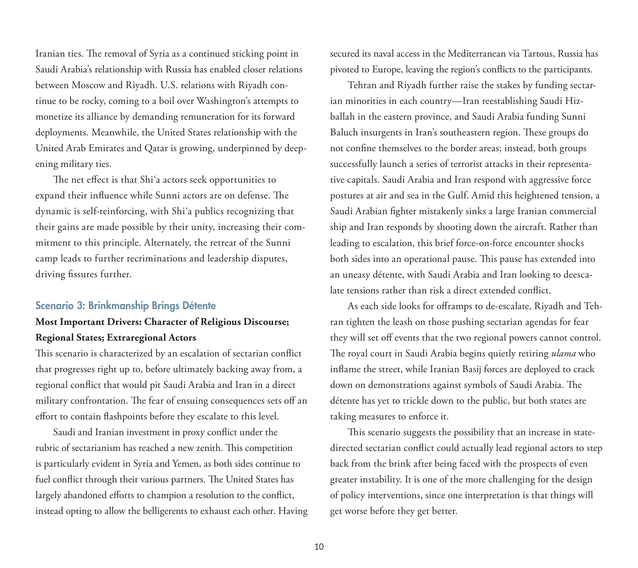Iranian ties. The removal of Syria as a continued sticking point in Saudi Arabia's relationship with Russia has enabled closer relations between Moscow and Riyadh. U.S. relations with Riyadh continue to be rocky, coming to a boil over Washington's attempts to monetize its alliance by demanding remuneration for its forward deployments. Meanwhile, the United States relationship with the United Arab Emirates and Qatar is growing, underpinned by deepening military ties.

The net effect is that Shi'a actors seek opportunities to expand their influence while Sunni actors are on defense. The dynamic is self-reinforcing, with Shi'a publics recognizing that their gains are made possible by their unity, increasing their commitment to this principle. Alternately, the retreat of the Sunni camp leads to further recriminations and leadership disputes, driving fissures further.

#### Scenario 3: Brinkmanship Brings Détente

## **Most Important Drivers: Character of Religious Discourse; Regional States; Extraregional Actors**

This scenario is characterized by an escalation of sectarian conflict that progresses right up to, before ultimately backing away from, a regional conflict that would pit Saudi Arabia and Iran in a direct military confrontation. The fear of ensuing consequences sets off an effort to contain flashpoints before they escalate to this level.

Saudi and Iranian investment in proxy conflict under the rubric of sectarianism has reached a new zenith. This competition is particularly evident in Syria and Yemen, as both sides continue to fuel conflict through their various partners. The United States has largely abandoned efforts to champion a resolution to the conflict, instead opting to allow the belligerents to exhaust each other. Having secured its naval access in the Mediterranean via Tartous, Russia has pivoted to Europe, leaving the region's conflicts to the participants.

Tehran and Riyadh further raise the stakes by funding sectarian minorities in each country—Iran reestablishing Saudi Hizballah in the eastern province, and Saudi Arabia funding Sunni Baluch insurgents in Iran's southeastern region. These groups do not confine themselves to the border areas; instead, both groups successfully launch a series of terrorist attacks in their representative capitals. Saudi Arabia and Iran respond with aggressive force postures at air and sea in the Gulf. Amid this heightened tension, a Saudi Arabian fighter mistakenly sinks a large Iranian commercial ship and Iran responds by shooting down the aircraft. Rather than leading to escalation, this brief force-on-force encounter shocks both sides into an operational pause. This pause has extended into an uneasy détente, with Saudi Arabia and Iran looking to deescalate tensions rather than risk a direct extended conflict.

As each side looks for offramps to de-escalate, Riyadh and Tehran tighten the leash on those pushing sectarian agendas for fear they will set off events that the two regional powers cannot control. The royal court in Saudi Arabia begins quietly retiring *ulama* who inflame the street, while Iranian Basij forces are deployed to crack down on demonstrations against symbols of Saudi Arabia. The détente has yet to trickle down to the public, but both states are taking measures to enforce it.

This scenario suggests the possibility that an increase in statedirected sectarian conflict could actually lead regional actors to step back from the brink after being faced with the prospects of even greater instability. It is one of the more challenging for the design of policy interventions, since one interpretation is that things will get worse before they get better.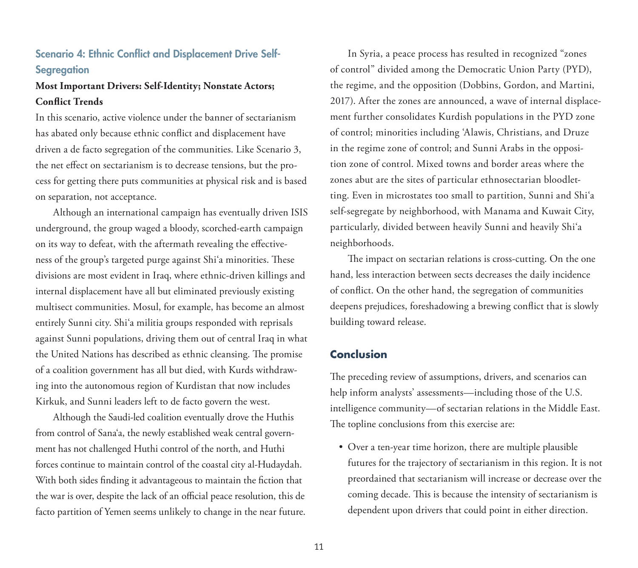## Scenario 4: Ethnic Conflict and Displacement Drive Self-**Segregation**

## **Most Important Drivers: Self-Identity; Nonstate Actors; Conflict Trends**

In this scenario, active violence under the banner of sectarianism has abated only because ethnic conflict and displacement have driven a de facto segregation of the communities. Like Scenario 3, the net effect on sectarianism is to decrease tensions, but the process for getting there puts communities at physical risk and is based on separation, not acceptance.

Although an international campaign has eventually driven ISIS underground, the group waged a bloody, scorched-earth campaign on its way to defeat, with the aftermath revealing the effectiveness of the group's targeted purge against Shi'a minorities. These divisions are most evident in Iraq, where ethnic-driven killings and internal displacement have all but eliminated previously existing multisect communities. Mosul, for example, has become an almost entirely Sunni city. Shi'a militia groups responded with reprisals against Sunni populations, driving them out of central Iraq in what the United Nations has described as ethnic cleansing. The promise of a coalition government has all but died, with Kurds withdrawing into the autonomous region of Kurdistan that now includes Kirkuk, and Sunni leaders left to de facto govern the west.

Although the Saudi-led coalition eventually drove the Huthis from control of Sana'a, the newly established weak central government has not challenged Huthi control of the north, and Huthi forces continue to maintain control of the coastal city al-Hudaydah. With both sides finding it advantageous to maintain the fiction that the war is over, despite the lack of an official peace resolution, this de facto partition of Yemen seems unlikely to change in the near future.

In Syria, a peace process has resulted in recognized "zones of control" divided among the Democratic Union Party (PYD), the regime, and the opposition (Dobbins, Gordon, and Martini, 2017). After the zones are announced, a wave of internal displacement further consolidates Kurdish populations in the PYD zone of control; minorities including 'Alawis, Christians, and Druze in the regime zone of control; and Sunni Arabs in the opposition zone of control. Mixed towns and border areas where the zones abut are the sites of particular ethnosectarian bloodletting. Even in microstates too small to partition, Sunni and Shi'a self-segregate by neighborhood, with Manama and Kuwait City, particularly, divided between heavily Sunni and heavily Shi'a neighborhoods.

The impact on sectarian relations is cross-cutting. On the one hand, less interaction between sects decreases the daily incidence of conflict. On the other hand, the segregation of communities deepens prejudices, foreshadowing a brewing conflict that is slowly building toward release.

#### **Conclusion**

The preceding review of assumptions, drivers, and scenarios can help inform analysts' assessments—including those of the U.S. intelligence community—of sectarian relations in the Middle East. The topline conclusions from this exercise are:

• Over a ten-year time horizon, there are multiple plausible futures for the trajectory of sectarianism in this region. It is not preordained that sectarianism will increase or decrease over the coming decade. This is because the intensity of sectarianism is dependent upon drivers that could point in either direction.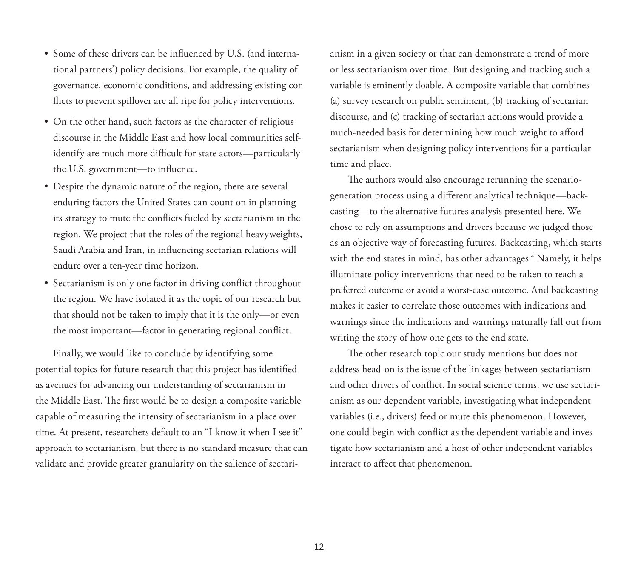- Some of these drivers can be influenced by U.S. (and international partners') policy decisions. For example, the quality of governance, economic conditions, and addressing existing conflicts to prevent spillover are all ripe for policy interventions.
- On the other hand, such factors as the character of religious discourse in the Middle East and how local communities selfidentify are much more difficult for state actors—particularly the U.S. government—to influence.
- Despite the dynamic nature of the region, there are several enduring factors the United States can count on in planning its strategy to mute the conflicts fueled by sectarianism in the region. We project that the roles of the regional heavyweights, Saudi Arabia and Iran, in influencing sectarian relations will endure over a ten-year time horizon.
- Sectarianism is only one factor in driving conflict throughout the region. We have isolated it as the topic of our research but that should not be taken to imply that it is the only—or even the most important—factor in generating regional conflict.

Finally, we would like to conclude by identifying some potential topics for future research that this project has identified as avenues for advancing our understanding of sectarianism in the Middle East. The first would be to design a composite variable capable of measuring the intensity of sectarianism in a place over time. At present, researchers default to an "I know it when I see it" approach to sectarianism, but there is no standard measure that can validate and provide greater granularity on the salience of sectarianism in a given society or that can demonstrate a trend of more or less sectarianism over time. But designing and tracking such a variable is eminently doable. A composite variable that combines (a) survey research on public sentiment, (b) tracking of sectarian discourse, and (c) tracking of sectarian actions would provide a much-needed basis for determining how much weight to afford sectarianism when designing policy interventions for a particular time and place.

The authors would also encourage rerunning the scenariogeneration process using a different analytical technique—backcasting—to the alternative futures analysis presented here. We chose to rely on assumptions and drivers because we judged those as an objective way of forecasting futures. Backcasting, which starts with the end states in mind, has other advantages.4 Namely, it helps illuminate policy interventions that need to be taken to reach a preferred outcome or avoid a worst-case outcome. And backcasting makes it easier to correlate those outcomes with indications and warnings since the indications and warnings naturally fall out from writing the story of how one gets to the end state.

The other research topic our study mentions but does not address head-on is the issue of the linkages between sectarianism and other drivers of conflict. In social science terms, we use sectarianism as our dependent variable, investigating what independent variables (i.e., drivers) feed or mute this phenomenon. However, one could begin with conflict as the dependent variable and investigate how sectarianism and a host of other independent variables interact to affect that phenomenon.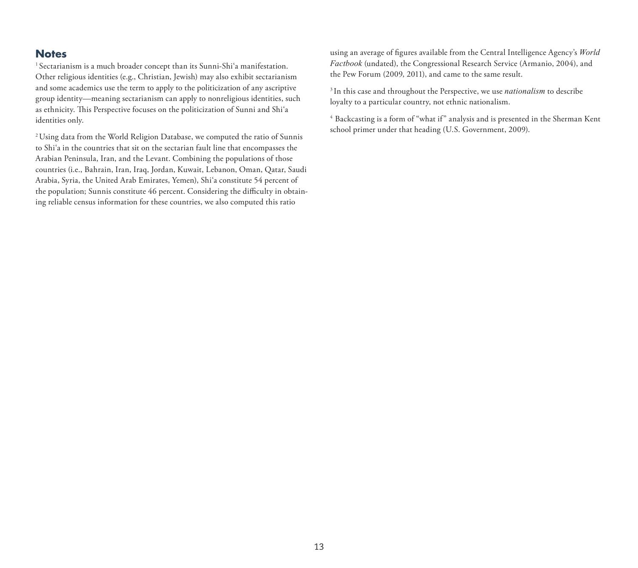#### **Notes**

<sup>1</sup> Sectarianism is a much broader concept than its Sunni-Shi'a manifestation. Other religious identities (e.g., Christian, Jewish) may also exhibit sectarianism and some academics use the term to apply to the politicization of any ascriptive group identity—meaning sectarianism can apply to nonreligious identities, such as ethnicity. This Perspective focuses on the politicization of Sunni and Shi'a identities only.

2 Using data from the World Religion Database, we computed the ratio of Sunnis to Shi'a in the countries that sit on the sectarian fault line that encompasses the Arabian Peninsula, Iran, and the Levant. Combining the populations of those countries (i.e., Bahrain, Iran, Iraq, Jordan, Kuwait, Lebanon, Oman, Qatar, Saudi Arabia, Syria, the United Arab Emirates, Yemen), Shi'a constitute 54 percent of the population; Sunnis constitute 46 percent. Considering the difficulty in obtaining reliable census information for these countries, we also computed this ratio

using an average of figures available from the Central Intelligence Agency's *World Factbook* (undated), the Congressional Research Service (Armanio, 2004), and the Pew Forum (2009, 2011), and came to the same result.

3 In this case and throughout the Perspective, we use *nationalism* to describe loyalty to a particular country, not ethnic nationalism.

4 Backcasting is a form of "what if" analysis and is presented in the Sherman Kent school primer under that heading (U.S. Government, 2009).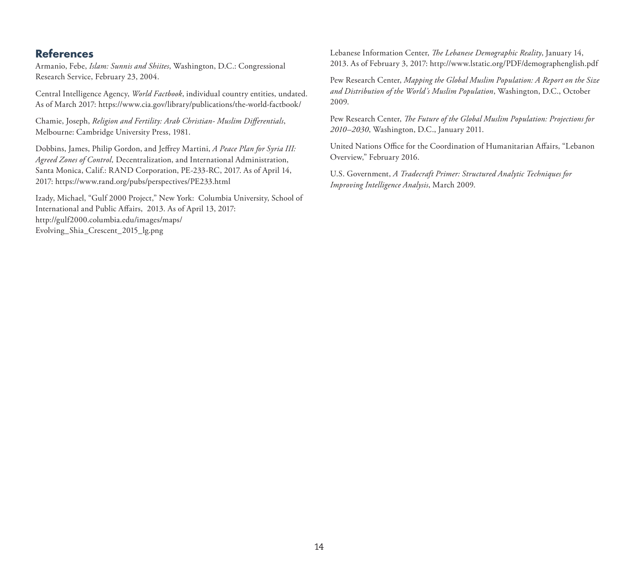#### **References**

Armanio, Febe, *Islam: Sunnis and Shiites*, Washington, D.C.: Congressional Research Service, February 23, 2004.

Central Intelligence Agency, *World Factbook*, individual country entities, undated. As of March 2017: <https://www.cia.gov/library/publications/the-world-factbook/>

Chamie, Joseph, *Religion and Fertility: Arab Christian- Muslim Differentials*, Melbourne: Cambridge University Press, 1981.

Dobbins, James, Philip Gordon, and Jeffrey Martini, *A Peace Plan for Syria III: Agreed Zones of Control,* Decentralization, and International Administration, Santa Monica, Calif.: RAND Corporation, PE-233-RC, 2017. As of April 14, 2017:<https://www.rand.org/pubs/perspectives/PE233.html>

Izady, Michael, "Gulf 2000 Project," New York: Columbia University, School of International and Public Affairs, 2013. As of April 13, 2017: [http://gulf2000.columbia.edu/images/maps/](http://gulf2000.columbia.edu/images/maps/Evolving_Shia_Crescent_2015_lg.png) Evolving\_Shia\_Crescent\_2015\_lg.png

Lebanese Information Center, *The Lebanese Demographic Reality*, January 14, 2013. As of February 3, 2017: <http://www.lstatic.org/PDF/demographenglish.pdf>

Pew Research Center, *Mapping the Global Muslim Population: A Report on the Size and Distribution of the World's Muslim Population*, Washington, D.C., October 2009.

Pew Research Center, *The Future of the Global Muslim Population: Projections for 2010–2030*, Washington, D.C., January 2011.

United Nations Office for the Coordination of Humanitarian Affairs, "Lebanon Overview," February 2016.

U.S. Government, *A Tradecraft Primer: Structured Analytic Techniques for Improving Intelligence Analysis*, March 2009.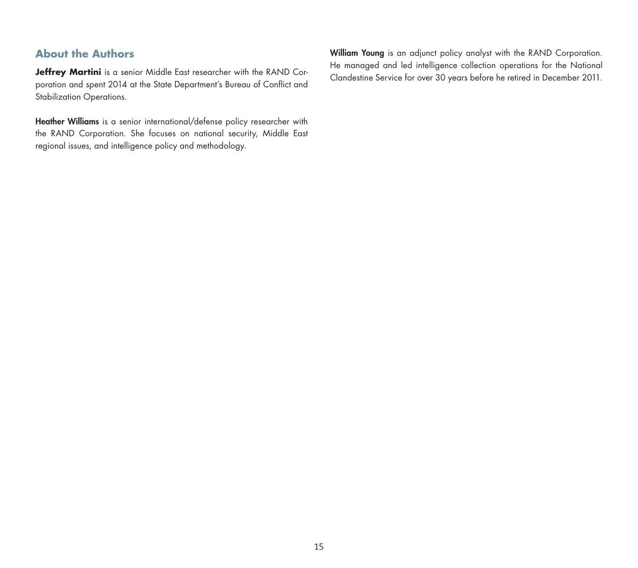## **About the Authors**

**Jeffrey Martini** is a senior Middle East researcher with the RAND Corporation and spent 2014 at the State Department's Bureau of Conflict and Stabilization Operations.

Heather Williams is a senior international/defense policy researcher with the RAND Corporation. She focuses on national security, Middle East regional issues, and intelligence policy and methodology.

William Young is an adjunct policy analyst with the RAND Corporation. He managed and led intelligence collection operations for the National Clandestine Service for over 30 years before he retired in December 2011.